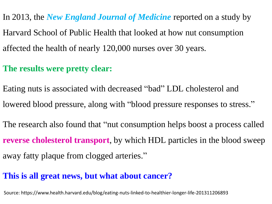In 2013, the *New England Journal of Medicine* reported on a study by Harvard School of Public Health that looked at how nut consumption affected the health of nearly 120,000 nurses over 30 years.

## **The results were pretty clear:**

Eating nuts is associated with decreased "bad" LDL cholesterol and lowered blood pressure, along with "blood pressure responses to stress."

The research also found that "nut consumption helps boost a process called **reverse cholesterol transport**, by which HDL particles in the blood sweep away fatty plaque from clogged arteries."

## **This is all great news, but what about cancer?**

Source: https://www.health.harvard.edu/blog/eating-nuts-linked-to-healthier-longer-life-201311206893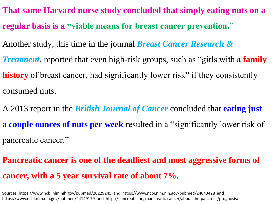- **That same Harvard nurse study concluded that simply eating nuts on a regular basis is a "viable means for breast cancer prevention."**
- Another study, this time in the journal *Breast Cancer Research &*
- *Treatment,* reported that even high-risk groups, such as "girls with a **family history** of breast cancer, had significantly lower risk" if they consistently consumed nuts.
- A 2013 report in the *British Journal of Cancer* concluded that **eating just a couple ounces of nuts per week** resulted in a "significantly lower risk of pancreatic cancer."
- **Pancreatic cancer is one of the deadliest and most aggressive forms of cancer, with a 5 year survival rate of about 7%.**

Sources: https://www.ncbi.nlm.nih.gov/pubmed/20229245 and https://www.ncbi.nlm.nih.gov/pubmed/24043428 and https://www.ncbi.nlm.nih.gov/pubmed/24149179 and http://pancreatic.org/pancreatic-cancer/about-the-pancreas/prognosis/